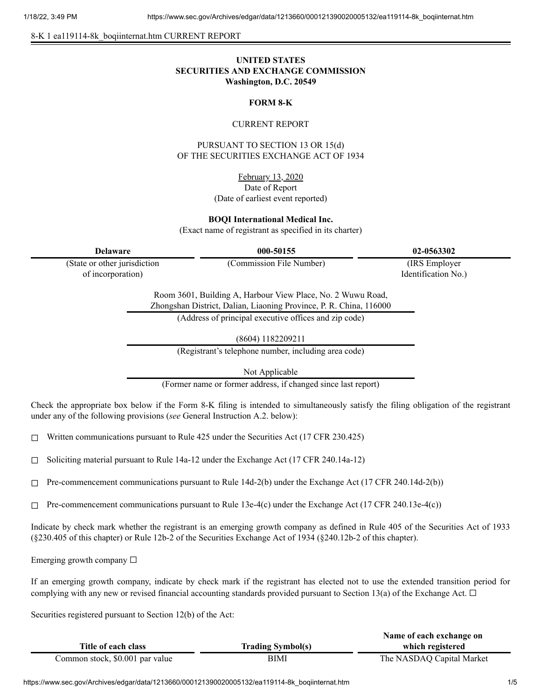8-K 1 ea119114-8k\_boqiinternat.htm CURRENT REPORT

# **UNITED STATES SECURITIES AND EXCHANGE COMMISSION Washington, D.C. 20549**

## **FORM 8-K**

### CURRENT REPORT

PURSUANT TO SECTION 13 OR 15(d) OF THE SECURITIES EXCHANGE ACT OF 1934

> February 13, 2020 Date of Report (Date of earliest event reported)

**BOQI International Medical Inc.**

(Exact name of registrant as specified in its charter)

**Delaware 000-50155 02-0563302**

(State or other jurisdiction of incorporation)

(Commission File Number) (IRS Employer

Identification No.)

Room 3601, Building A, Harbour View Place, No. 2 Wuwu Road, Zhongshan District, Dalian, Liaoning Province, P. R. China, 116000

(Address of principal executive offices and zip code)

(8604) 1182209211

(Registrant's telephone number, including area code)

Not Applicable

(Former name or former address, if changed since last report)

Check the appropriate box below if the Form 8-K filing is intended to simultaneously satisfy the filing obligation of the registrant under any of the following provisions (*see* General Instruction A.2. below):

 $\Box$  Written communications pursuant to Rule 425 under the Securities Act (17 CFR 230.425)

 $\Box$  Soliciting material pursuant to Rule 14a-12 under the Exchange Act (17 CFR 240.14a-12)

 $\Box$  Pre-commencement communications pursuant to Rule 14d-2(b) under the Exchange Act (17 CFR 240.14d-2(b))

 $\Box$  Pre-commencement communications pursuant to Rule 13e-4(c) under the Exchange Act (17 CFR 240.13e-4(c))

Indicate by check mark whether the registrant is an emerging growth company as defined in Rule 405 of the Securities Act of 1933 (§230.405 of this chapter) or Rule 12b-2 of the Securities Exchange Act of 1934 (§240.12b-2 of this chapter).

Emerging growth company  $\Box$ 

If an emerging growth company, indicate by check mark if the registrant has elected not to use the extended transition period for complying with any new or revised financial accounting standards provided pursuant to Section 13(a) of the Exchange Act.  $\Box$ 

Securities registered pursuant to Section 12(b) of the Act:

|                                 |                          | Name of each exchange on  |
|---------------------------------|--------------------------|---------------------------|
| Title of each class             | <b>Trading Symbol(s)</b> | which registered          |
| Common stock, \$0.001 par value | BIMI                     | The NASDAQ Capital Market |

https://www.sec.gov/Archives/edgar/data/1213660/000121390020005132/ea119114-8k\_boqiinternat.htm 1/5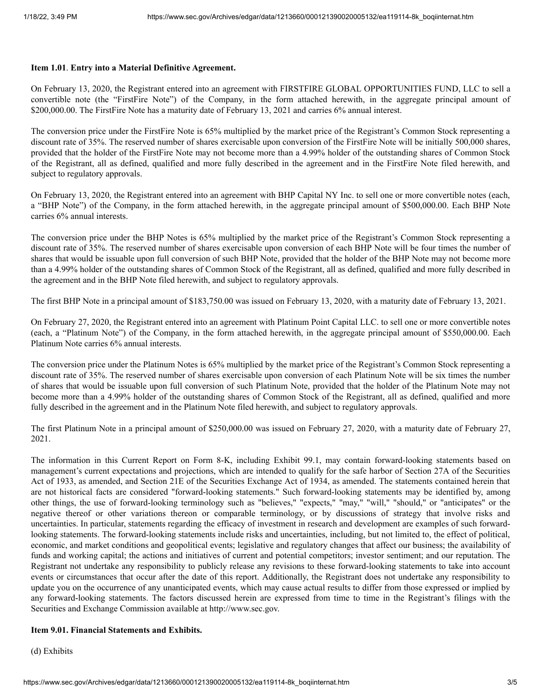### **Item 1.01**. **Entry into a Material Definitive Agreement.**

On February 13, 2020, the Registrant entered into an agreement with FIRSTFIRE GLOBAL OPPORTUNITIES FUND, LLC to sell a convertible note (the "FirstFire Note") of the Company, in the form attached herewith, in the aggregate principal amount of \$200,000.00. The FirstFire Note has a maturity date of February 13, 2021 and carries 6% annual interest.

The conversion price under the FirstFire Note is 65% multiplied by the market price of the Registrant's Common Stock representing a discount rate of 35%. The reserved number of shares exercisable upon conversion of the FirstFire Note will be initially 500,000 shares, provided that the holder of the FirstFire Note may not become more than a 4.99% holder of the outstanding shares of Common Stock of the Registrant, all as defined, qualified and more fully described in the agreement and in the FirstFire Note filed herewith, and subject to regulatory approvals.

On February 13, 2020, the Registrant entered into an agreement with BHP Capital NY Inc. to sell one or more convertible notes (each, a "BHP Note") of the Company, in the form attached herewith, in the aggregate principal amount of \$500,000.00. Each BHP Note carries 6% annual interests.

The conversion price under the BHP Notes is 65% multiplied by the market price of the Registrant's Common Stock representing a discount rate of 35%. The reserved number of shares exercisable upon conversion of each BHP Note will be four times the number of shares that would be issuable upon full conversion of such BHP Note, provided that the holder of the BHP Note may not become more than a 4.99% holder of the outstanding shares of Common Stock of the Registrant, all as defined, qualified and more fully described in the agreement and in the BHP Note filed herewith, and subject to regulatory approvals.

The first BHP Note in a principal amount of \$183,750.00 was issued on February 13, 2020, with a maturity date of February 13, 2021.

On February 27, 2020, the Registrant entered into an agreement with Platinum Point Capital LLC. to sell one or more convertible notes (each, a "Platinum Note") of the Company, in the form attached herewith, in the aggregate principal amount of \$550,000.00. Each Platinum Note carries 6% annual interests.

The conversion price under the Platinum Notes is 65% multiplied by the market price of the Registrant's Common Stock representing a discount rate of 35%. The reserved number of shares exercisable upon conversion of each Platinum Note will be six times the number of shares that would be issuable upon full conversion of such Platinum Note, provided that the holder of the Platinum Note may not become more than a 4.99% holder of the outstanding shares of Common Stock of the Registrant, all as defined, qualified and more fully described in the agreement and in the Platinum Note filed herewith, and subject to regulatory approvals.

The first Platinum Note in a principal amount of \$250,000.00 was issued on February 27, 2020, with a maturity date of February 27, 2021.

The information in this Current Report on Form 8-K, including Exhibit 99.1, may contain forward-looking statements based on management's current expectations and projections, which are intended to qualify for the safe harbor of Section 27A of the Securities Act of 1933, as amended, and Section 21E of the Securities Exchange Act of 1934, as amended. The statements contained herein that are not historical facts are considered "forward-looking statements." Such forward-looking statements may be identified by, among other things, the use of forward-looking terminology such as "believes," "expects," "may," "will," "should," or "anticipates" or the negative thereof or other variations thereon or comparable terminology, or by discussions of strategy that involve risks and uncertainties. In particular, statements regarding the efficacy of investment in research and development are examples of such forwardlooking statements. The forward-looking statements include risks and uncertainties, including, but not limited to, the effect of political, economic, and market conditions and geopolitical events; legislative and regulatory changes that affect our business; the availability of funds and working capital; the actions and initiatives of current and potential competitors; investor sentiment; and our reputation. The Registrant not undertake any responsibility to publicly release any revisions to these forward-looking statements to take into account events or circumstances that occur after the date of this report. Additionally, the Registrant does not undertake any responsibility to update you on the occurrence of any unanticipated events, which may cause actual results to differ from those expressed or implied by any forward-looking statements. The factors discussed herein are expressed from time to time in the Registrant's filings with the Securities and Exchange Commission available at http://www.sec.gov.

## **Item 9.01. Financial Statements and Exhibits.**

(d) Exhibits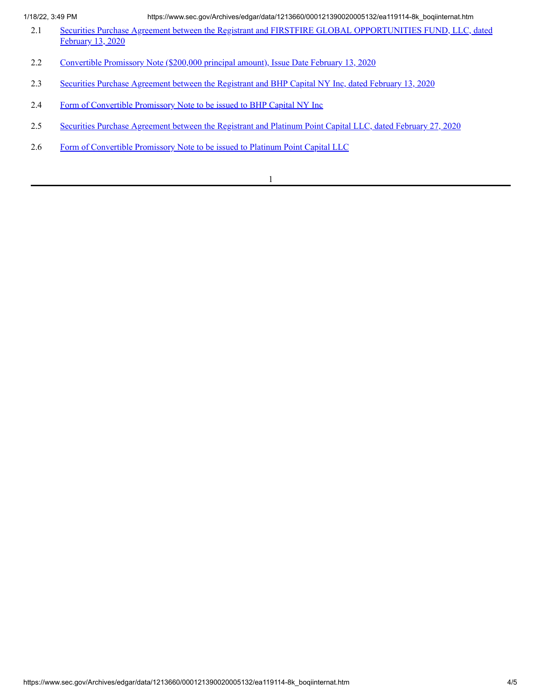1/18/22, 3:49 PM https://www.sec.gov/Archives/edgar/data/1213660/000121390020005132/ea119114-8k\_boqiinternat.htm

- 2.1 Securities Purchase Agreement between the Registrant and FIRSTFIRE GLOBAL [OPPORTUNITIES](https://www.sec.gov/Archives/edgar/data/1213660/000121390020005132/ea119114ex2-1_boqiinternat.htm) FUND, LLC, dated February 13, 2020
- 2.2 [Convertible](https://www.sec.gov/Archives/edgar/data/1213660/000121390020005132/ea119114ex2-2_boqiinternat.htm) Promissory Note (\$200,000 principal amount), Issue Date February 13, 2020
- 2.3 Securities Purchase [Agreement](https://www.sec.gov/Archives/edgar/data/1213660/000121390020005132/ea119114ex2-3_boqiinternat.htm) between the Registrant and BHP Capital NY Inc, dated February 13, 2020
- 2.4 Form of [Convertible](https://www.sec.gov/Archives/edgar/data/1213660/000121390020005132/ea119114ex2-4_boqiinternat.htm) Promissory Note to be issued to BHP Capital NY Inc
- 2.5 Securities Purchase [Agreement](https://www.sec.gov/Archives/edgar/data/1213660/000121390020005132/ea119114ex2-5_boqiinternat.htm) between the Registrant and Platinum Point Capital LLC, dated February 27, 2020
- 2.6 Form of [Convertible](https://www.sec.gov/Archives/edgar/data/1213660/000121390020005132/ea119114ex2-6_boqiinternat.htm) Promissory Note to be issued to Platinum Point Capital LLC

1